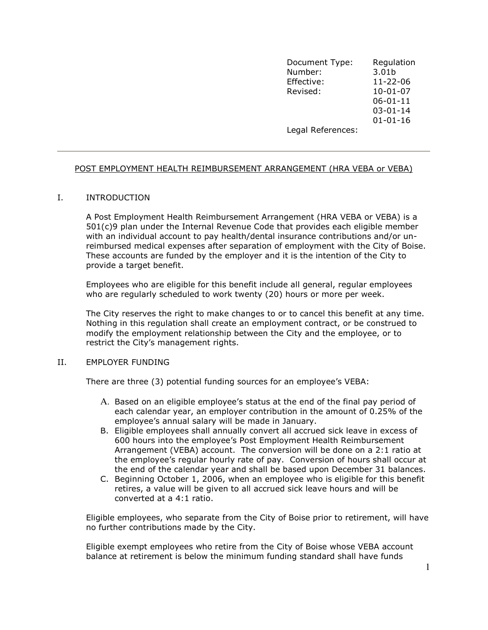Document Type: Regulation Number: 3.01b Effective: 11-22-06 Revised: the state of the Revised: the state of the Revised: the state of the  $10$ -01-07  $06-01-11$  03-01-14 01-01-16 Legal References:

# <u>POST EMPLOYMENT HEALTH REIMBURSEMENT ARRANGEMENT (HRA VEBA or VEBA)</u>

## I. INTRODUCTION

A Post Employment Health Reimbursement Arrangement (HRA VEBA or VEBA) is a 501(c)9 plan under the Internal Revenue Code that provides each eligible member with an individual account to pay health/dental insurance contributions and/or unreimbursed medical expenses after separation of employment with the City of Boise. These accounts are funded by the employer and it is the intention of the City to provide a target benefit.

Employees who are eligible for this benefit include all general, regular employees who are regularly scheduled to work twenty (20) hours or more per week.

The City reserves the right to make changes to or to cancel this benefit at any time. Nothing in this regulation shall create an employment contract, or be construed to modify the employment relationship between the City and the employee, or to restrict the City's management rights.

## II. EMPLOYER FUNDING

There are three (3) potential funding sources for an employee's VEBA:

- A. Based on an eligible employee's status at the end of the final pay period of each calendar year, an employer contribution in the amount of 0.25% of the employee's annual salary will be made in January.
- B. Eligible employees shall annually convert all accrued sick leave in excess of 600 hours into the employee's Post Employment Health Reimbursement Arrangement (VEBA) account. The conversion will be done on a 2:1 ratio at the employee's regular hourly rate of pay. Conversion of hours shall occur at the end of the calendar year and shall be based upon December 31 balances.
- C. Beginning October 1, 2006, when an employee who is eligible for this benefit retires, a value will be given to all accrued sick leave hours and will be converted at a 4:1 ratio.

Eligible employees, who separate from the City of Boise prior to retirement, will have no further contributions made by the City.

Eligible exempt employees who retire from the City of Boise whose VEBA account balance at retirement is below the minimum funding standard shall have funds